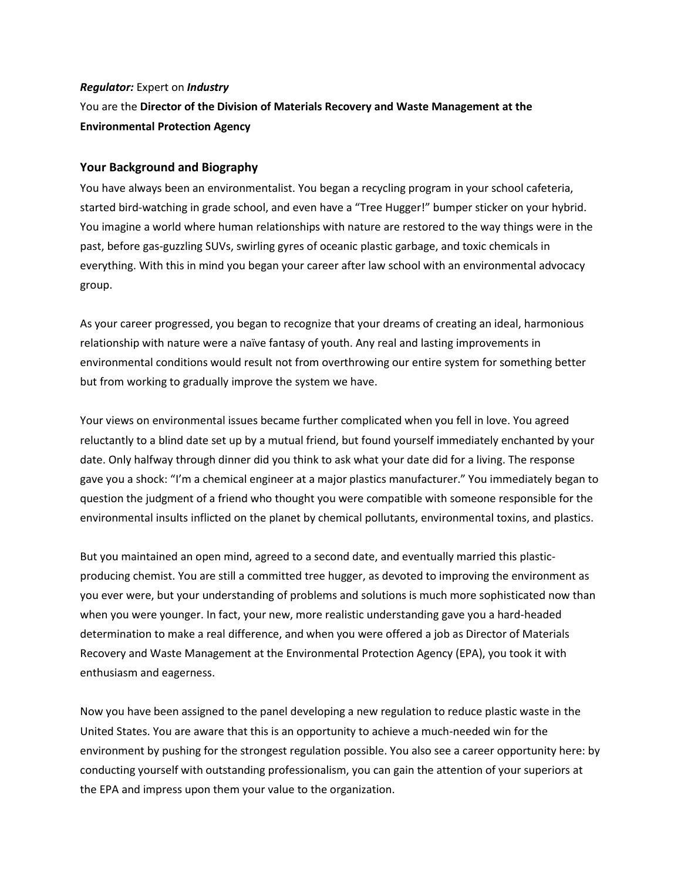# *Regulator:* Expert on *Industry*  You are the **Director of the Division of Materials Recovery and Waste Management at the Environmental Protection Agency**

## **Your Background and Biography**

You have always been an environmentalist. You began a recycling program in your school cafeteria, started bird-watching in grade school, and even have a "Tree Hugger!" bumper sticker on your hybrid. You imagine a world where human relationships with nature are restored to the way things were in the past, before gas-guzzling SUVs, swirling gyres of oceanic plastic garbage, and toxic chemicals in everything. With this in mind you began your career after law school with an environmental advocacy group.

As your career progressed, you began to recognize that your dreams of creating an ideal, harmonious relationship with nature were a naïve fantasy of youth. Any real and lasting improvements in environmental conditions would result not from overthrowing our entire system for something better but from working to gradually improve the system we have.

Your views on environmental issues became further complicated when you fell in love. You agreed reluctantly to a blind date set up by a mutual friend, but found yourself immediately enchanted by your date. Only halfway through dinner did you think to ask what your date did for a living. The response gave you a shock: "I'm a chemical engineer at a major plastics manufacturer." You immediately began to question the judgment of a friend who thought you were compatible with someone responsible for the environmental insults inflicted on the planet by chemical pollutants, environmental toxins, and plastics.

But you maintained an open mind, agreed to a second date, and eventually married this plasticproducing chemist. You are still a committed tree hugger, as devoted to improving the environment as you ever were, but your understanding of problems and solutions is much more sophisticated now than when you were younger. In fact, your new, more realistic understanding gave you a hard-headed determination to make a real difference, and when you were offered a job as Director of Materials Recovery and Waste Management at the Environmental Protection Agency (EPA), you took it with enthusiasm and eagerness.

Now you have been assigned to the panel developing a new regulation to reduce plastic waste in the United States. You are aware that this is an opportunity to achieve a much-needed win for the environment by pushing for the strongest regulation possible. You also see a career opportunity here: by conducting yourself with outstanding professionalism, you can gain the attention of your superiors at the EPA and impress upon them your value to the organization.